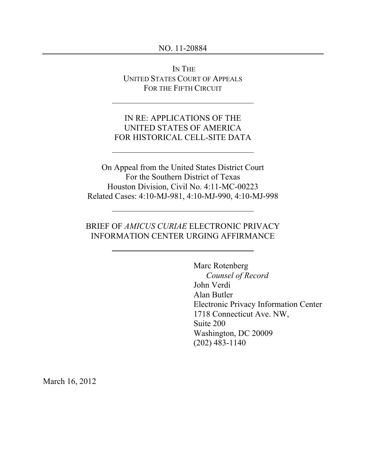#### NO. 11-20884

IN THE UNITED STATES COURT OF APPEALS FOR THE FIFTH CIRCUIT

## IN RE: APPLICATIONS OF THE UNITED STATES OF AMERICA FOR HISTORICAL CELL-SITE DATA

On Appeal from the United States District Court For the Southern District of Texas Houston Division, Civil No. 4:11-MC-00223 Related Cases: 4:10-MJ-981, 4:10-MJ-990, 4:10-MJ-998

# BRIEF OF *AMICUS CURIAE* ELECTRONIC PRIVACY INFORMATION CENTER URGING AFFIRMANCE

Marc Rotenberg *Counsel of Record* John Verdi Alan Butler Electronic Privacy Information Center 1718 Connecticut Ave. NW, Suite 200 Washington, DC 20009 (202) 483-1140

March 16, 2012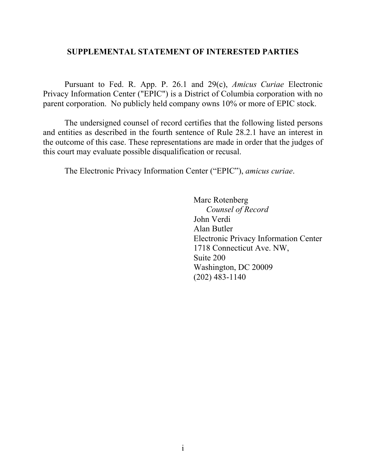### **SUPPLEMENTAL STATEMENT OF INTERESTED PARTIES**

Pursuant to Fed. R. App. P. 26.1 and 29(c), *Amicus Curiae* Electronic Privacy Information Center ("EPIC") is a District of Columbia corporation with no parent corporation. No publicly held company owns 10% or more of EPIC stock.

The undersigned counsel of record certifies that the following listed persons and entities as described in the fourth sentence of Rule 28.2.1 have an interest in the outcome of this case. These representations are made in order that the judges of this court may evaluate possible disqualification or recusal.

The Electronic Privacy Information Center ("EPIC"), *amicus curiae*.

Marc Rotenberg *Counsel of Record* John Verdi Alan Butler Electronic Privacy Information Center 1718 Connecticut Ave. NW, Suite 200 Washington, DC 20009 (202) 483-1140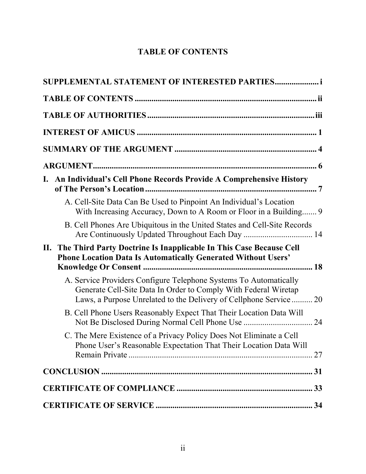# **TABLE OF CONTENTS**

| SUPPLEMENTAL STATEMENT OF INTERESTED PARTIES                                                                                                                                                              |
|-----------------------------------------------------------------------------------------------------------------------------------------------------------------------------------------------------------|
|                                                                                                                                                                                                           |
|                                                                                                                                                                                                           |
|                                                                                                                                                                                                           |
|                                                                                                                                                                                                           |
|                                                                                                                                                                                                           |
| I. An Individual's Cell Phone Records Provide A Comprehensive History                                                                                                                                     |
| A. Cell-Site Data Can Be Used to Pinpoint An Individual's Location<br>With Increasing Accuracy, Down to A Room or Floor in a Building 9                                                                   |
| B. Cell Phones Are Ubiquitous in the United States and Cell-Site Records                                                                                                                                  |
| II. The Third Party Doctrine Is Inapplicable In This Case Because Cell<br><b>Phone Location Data Is Automatically Generated Without Users'</b>                                                            |
| A. Service Providers Configure Telephone Systems To Automatically<br>Generate Cell-Site Data In Order to Comply With Federal Wiretap<br>Laws, a Purpose Unrelated to the Delivery of Cellphone Service 20 |
| B. Cell Phone Users Reasonably Expect That Their Location Data Will                                                                                                                                       |
| C. The Mere Existence of a Privacy Policy Does Not Eliminate a Cell<br>Phone User's Reasonable Expectation That Their Location Data Will                                                                  |
|                                                                                                                                                                                                           |
|                                                                                                                                                                                                           |
|                                                                                                                                                                                                           |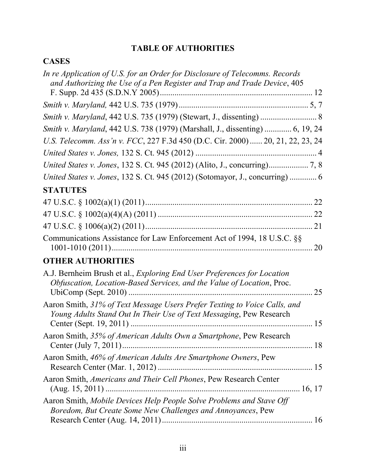# **TABLE OF AUTHORITIES**

# **CASES**

| In re Application of U.S. for an Order for Disclosure of Telecomms. Records<br>and Authorizing the Use of a Pen Register and Trap and Trade Device, 405  |    |
|----------------------------------------------------------------------------------------------------------------------------------------------------------|----|
|                                                                                                                                                          |    |
|                                                                                                                                                          |    |
|                                                                                                                                                          |    |
| Smith v. Maryland, 442 U.S. 738 (1979) (Marshall, J., dissenting)  6, 19, 24                                                                             |    |
| U.S. Telecomm. Ass'n v. FCC, 227 F.3d 450 (D.C. Cir. 2000)  20, 21, 22, 23, 24                                                                           |    |
|                                                                                                                                                          |    |
|                                                                                                                                                          |    |
| United States v. Jones, 132 S. Ct. 945 (2012) (Sotomayor, J., concurring)  6                                                                             |    |
| <b>STATUTES</b>                                                                                                                                          |    |
|                                                                                                                                                          |    |
|                                                                                                                                                          |    |
|                                                                                                                                                          |    |
| Communications Assistance for Law Enforcement Act of 1994, 18 U.S.C. §§                                                                                  |    |
| <b>OTHER AUTHORITIES</b>                                                                                                                                 |    |
| A.J. Bernheim Brush et al., <i>Exploring End User Preferences for Location</i><br>Obfuscation, Location-Based Services, and the Value of Location, Proc. | 25 |
| Aaron Smith, 31% of Text Message Users Prefer Texting to Voice Calls, and<br>Young Adults Stand Out In Their Use of Text Messaging, Pew Research         |    |
| Aaron Smith, 35% of American Adults Own a Smartphone, Pew Research                                                                                       |    |
| Aaron Smith, 46% of American Adults Are Smartphone Owners, Pew                                                                                           |    |
| Aaron Smith, Americans and Their Cell Phones, Pew Research Center                                                                                        |    |
| Aaron Smith, Mobile Devices Help People Solve Problems and Stave Off<br>Boredom, But Create Some New Challenges and Annoyances, Pew                      |    |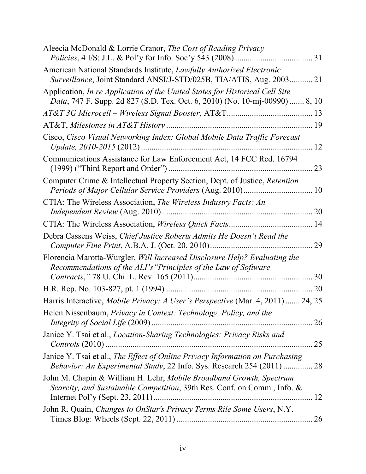| Aleecia McDonald & Lorrie Cranor, The Cost of Reading Privacy                                                                                               |    |
|-------------------------------------------------------------------------------------------------------------------------------------------------------------|----|
| American National Standards Institute, Lawfully Authorized Electronic<br>Surveillance, Joint Standard ANSI/J-STD/025B, TIA/ATIS, Aug. 2003 21               |    |
| Application, In re Application of the United States for Historical Cell Site<br>Data, 747 F. Supp. 2d 827 (S.D. Tex. Oct. 6, 2010) (No. 10-mj-00990)  8, 10 |    |
|                                                                                                                                                             |    |
|                                                                                                                                                             |    |
| Cisco, Cisco Visual Networking Index: Global Mobile Data Traffic Forecast                                                                                   | 12 |
| Communications Assistance for Law Enforcement Act, 14 FCC Rcd. 16794                                                                                        | 23 |
| Computer Crime & Intellectual Property Section, Dept. of Justice, Retention                                                                                 | 10 |
| CTIA: The Wireless Association, The Wireless Industry Facts: An                                                                                             | 20 |
|                                                                                                                                                             |    |
| Debra Cassens Weiss, Chief Justice Roberts Admits He Doesn't Read the                                                                                       | 29 |
| Florencia Marotta-Wurgler, Will Increased Disclosure Help? Evaluating the<br>Recommendations of the ALI's "Principles of the Law of Software                |    |
|                                                                                                                                                             |    |
|                                                                                                                                                             | 20 |
| Harris Interactive, Mobile Privacy: A User's Perspective (Mar. 4, 2011)  24, 25                                                                             |    |
| Helen Nissenbaum, Privacy in Context: Technology, Policy, and the                                                                                           | 26 |
| Janice Y. Tsai et al., Location-Sharing Technologies: Privacy Risks and                                                                                     | 25 |
| Janice Y. Tsai et al., The Effect of Online Privacy Information on Purchasing<br>Behavior: An Experimental Study, 22 Info. Sys. Research 254 (2011)  28     |    |
| John M. Chapin & William H. Lehr, Mobile Broadband Growth, Spectrum<br>Scarcity, and Sustainable Competition, 39th Res. Conf. on Comm., Info. &             | 12 |
| John R. Quain, Changes to OnStar's Privacy Terms Rile Some Users, N.Y.                                                                                      | 26 |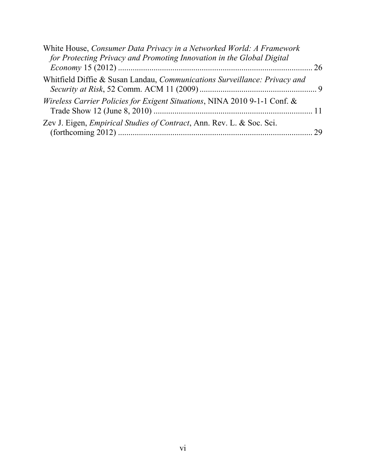| White House, Consumer Data Privacy in a Networked World: A Framework<br>for Protecting Privacy and Promoting Innovation in the Global Digital |  |
|-----------------------------------------------------------------------------------------------------------------------------------------------|--|
| Whitfield Diffie & Susan Landau, <i>Communications Surveillance: Privacy and</i>                                                              |  |
| Wireless Carrier Policies for Exigent Situations, NINA 2010 9-1-1 Conf. &                                                                     |  |
| Zev J. Eigen, <i>Empirical Studies of Contract</i> , Ann. Rev. L. & Soc. Sci.                                                                 |  |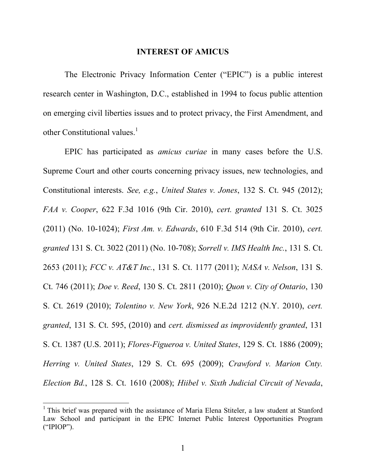#### **INTEREST OF AMICUS**

The Electronic Privacy Information Center ("EPIC") is a public interest research center in Washington, D.C., established in 1994 to focus public attention on emerging civil liberties issues and to protect privacy, the First Amendment, and other Constitutional values. $<sup>1</sup>$ </sup>

EPIC has participated as *amicus curiae* in many cases before the U.S. Supreme Court and other courts concerning privacy issues, new technologies, and Constitutional interests. *See, e.g.*, *United States v. Jones*, 132 S. Ct. 945 (2012); *FAA v. Cooper*, 622 F.3d 1016 (9th Cir. 2010), *cert. granted* 131 S. Ct. 3025 (2011) (No. 10-1024); *First Am. v. Edwards*, 610 F.3d 514 (9th Cir. 2010), *cert. granted* 131 S. Ct. 3022 (2011) (No. 10-708); *Sorrell v. IMS Health Inc.*, 131 S. Ct. 2653 (2011); *FCC v. AT&T Inc.*, 131 S. Ct. 1177 (2011); *NASA v. Nelson*, 131 S. Ct. 746 (2011); *Doe v. Reed*, 130 S. Ct. 2811 (2010); *Quon v. City of Ontario*, 130 S. Ct. 2619 (2010); *Tolentino v. New York*, 926 N.E.2d 1212 (N.Y. 2010), *cert. granted*, 131 S. Ct. 595, (2010) and *cert. dismissed as improvidently granted*, 131 S. Ct. 1387 (U.S. 2011); *Flores-Figueroa v. United States*, 129 S. Ct. 1886 (2009); *Herring v. United States*, 129 S. Ct. 695 (2009); *Crawford v. Marion Cnty. Election Bd.*, 128 S. Ct. 1610 (2008); *Hiibel v. Sixth Judicial Circuit of Nevada*,

<sup>&</sup>lt;sup>1</sup> This brief was prepared with the assistance of Maria Elena Stiteler, a law student at Stanford Law School and participant in the EPIC Internet Public Interest Opportunities Program ("IPIOP").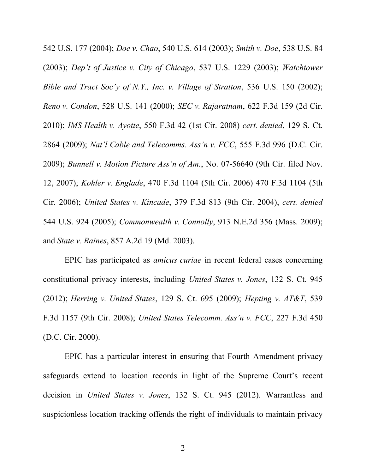542 U.S. 177 (2004); *Doe v. Chao*, 540 U.S. 614 (2003); *Smith v. Doe*, 538 U.S. 84 (2003); *Dep't of Justice v. City of Chicago*, 537 U.S. 1229 (2003); *Watchtower Bible and Tract Soc'y of N.Y., Inc. v. Village of Stratton*, 536 U.S. 150 (2002); *Reno v. Condon*, 528 U.S. 141 (2000); *SEC v. Rajaratnam*, 622 F.3d 159 (2d Cir. 2010); *IMS Health v. Ayotte*, 550 F.3d 42 (1st Cir. 2008) *cert. denied*, 129 S. Ct. 2864 (2009); *Nat'l Cable and Telecomms. Ass'n v. FCC*, 555 F.3d 996 (D.C. Cir. 2009); *Bunnell v. Motion Picture Ass'n of Am.*, No. 07-56640 (9th Cir. filed Nov. 12, 2007); *Kohler v. Englade*, 470 F.3d 1104 (5th Cir. 2006) 470 F.3d 1104 (5th Cir. 2006); *United States v. Kincade*, 379 F.3d 813 (9th Cir. 2004), *cert. denied* 544 U.S. 924 (2005); *Commonwealth v. Connolly*, 913 N.E.2d 356 (Mass. 2009); and *State v. Raines*, 857 A.2d 19 (Md. 2003).

EPIC has participated as *amicus curiae* in recent federal cases concerning constitutional privacy interests, including *United States v. Jones*, 132 S. Ct. 945 (2012); *Herring v. United States*, 129 S. Ct. 695 (2009); *Hepting v. AT&T*, 539 F.3d 1157 (9th Cir. 2008); *United States Telecomm. Ass'n v. FCC*, 227 F.3d 450 (D.C. Cir. 2000).

EPIC has a particular interest in ensuring that Fourth Amendment privacy safeguards extend to location records in light of the Supreme Court's recent decision in *United States v. Jones*, 132 S. Ct. 945 (2012). Warrantless and suspicionless location tracking offends the right of individuals to maintain privacy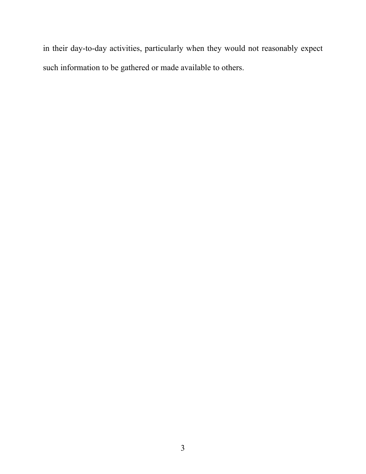in their day-to-day activities, particularly when they would not reasonably expect such information to be gathered or made available to others.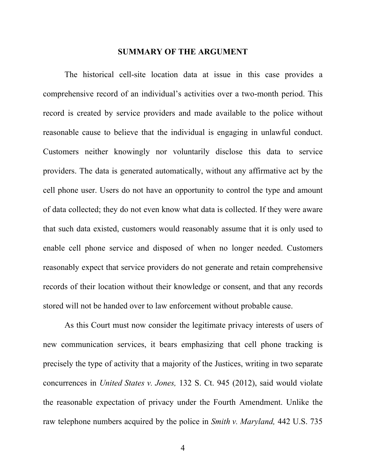#### **SUMMARY OF THE ARGUMENT**

The historical cell-site location data at issue in this case provides a comprehensive record of an individual's activities over a two-month period. This record is created by service providers and made available to the police without reasonable cause to believe that the individual is engaging in unlawful conduct. Customers neither knowingly nor voluntarily disclose this data to service providers. The data is generated automatically, without any affirmative act by the cell phone user. Users do not have an opportunity to control the type and amount of data collected; they do not even know what data is collected. If they were aware that such data existed, customers would reasonably assume that it is only used to enable cell phone service and disposed of when no longer needed. Customers reasonably expect that service providers do not generate and retain comprehensive records of their location without their knowledge or consent, and that any records stored will not be handed over to law enforcement without probable cause.

As this Court must now consider the legitimate privacy interests of users of new communication services, it bears emphasizing that cell phone tracking is precisely the type of activity that a majority of the Justices, writing in two separate concurrences in *United States v. Jones,* 132 S. Ct. 945 (2012), said would violate the reasonable expectation of privacy under the Fourth Amendment. Unlike the raw telephone numbers acquired by the police in *Smith v. Maryland,* 442 U.S. 735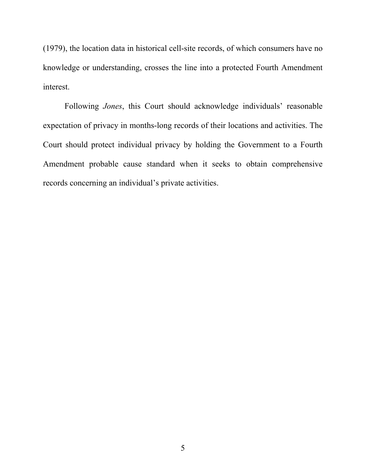(1979), the location data in historical cell-site records, of which consumers have no knowledge or understanding, crosses the line into a protected Fourth Amendment interest.

Following *Jones*, this Court should acknowledge individuals' reasonable expectation of privacy in months-long records of their locations and activities. The Court should protect individual privacy by holding the Government to a Fourth Amendment probable cause standard when it seeks to obtain comprehensive records concerning an individual's private activities.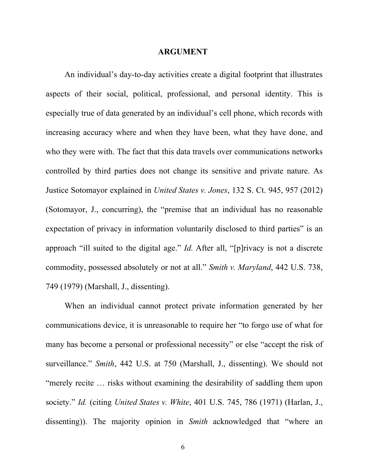#### **ARGUMENT**

An individual's day-to-day activities create a digital footprint that illustrates aspects of their social, political, professional, and personal identity. This is especially true of data generated by an individual's cell phone, which records with increasing accuracy where and when they have been, what they have done, and who they were with. The fact that this data travels over communications networks controlled by third parties does not change its sensitive and private nature. As Justice Sotomayor explained in *United States v. Jones*, 132 S. Ct. 945, 957 (2012) (Sotomayor, J., concurring), the "premise that an individual has no reasonable expectation of privacy in information voluntarily disclosed to third parties" is an approach "ill suited to the digital age." *Id.* After all, "[p]rivacy is not a discrete commodity, possessed absolutely or not at all." *Smith v. Maryland*, 442 U.S. 738, 749 (1979) (Marshall, J., dissenting).

When an individual cannot protect private information generated by her communications device, it is unreasonable to require her "to forgo use of what for many has become a personal or professional necessity" or else "accept the risk of surveillance." *Smith*, 442 U.S. at 750 (Marshall, J., dissenting). We should not "merely recite … risks without examining the desirability of saddling them upon society." *Id.* (citing *United States v. White*, 401 U.S. 745, 786 (1971) (Harlan, J., dissenting)). The majority opinion in *Smith* acknowledged that "where an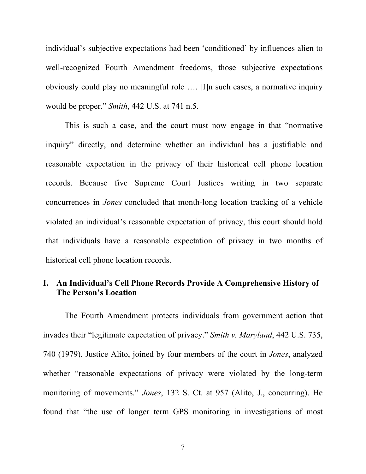individual's subjective expectations had been 'conditioned' by influences alien to well-recognized Fourth Amendment freedoms, those subjective expectations obviously could play no meaningful role …. [I]n such cases, a normative inquiry would be proper." *Smith*, 442 U.S. at 741 n.5.

This is such a case, and the court must now engage in that "normative inquiry" directly, and determine whether an individual has a justifiable and reasonable expectation in the privacy of their historical cell phone location records. Because five Supreme Court Justices writing in two separate concurrences in *Jones* concluded that month-long location tracking of a vehicle violated an individual's reasonable expectation of privacy, this court should hold that individuals have a reasonable expectation of privacy in two months of historical cell phone location records.

### **I. An Individual's Cell Phone Records Provide A Comprehensive History of The Person's Location**

The Fourth Amendment protects individuals from government action that invades their "legitimate expectation of privacy." *Smith v. Maryland*, 442 U.S. 735, 740 (1979). Justice Alito, joined by four members of the court in *Jones*, analyzed whether "reasonable expectations of privacy were violated by the long-term monitoring of movements." *Jones*, 132 S. Ct. at 957 (Alito, J., concurring). He found that "the use of longer term GPS monitoring in investigations of most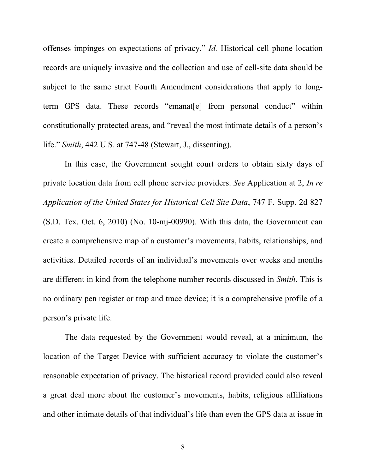offenses impinges on expectations of privacy." *Id.* Historical cell phone location records are uniquely invasive and the collection and use of cell-site data should be subject to the same strict Fourth Amendment considerations that apply to longterm GPS data. These records "emanat[e] from personal conduct" within constitutionally protected areas, and "reveal the most intimate details of a person's life." *Smith*, 442 U.S. at 747-48 (Stewart, J., dissenting).

In this case, the Government sought court orders to obtain sixty days of private location data from cell phone service providers. *See* Application at 2, *In re Application of the United States for Historical Cell Site Data*, 747 F. Supp. 2d 827 (S.D. Tex. Oct. 6, 2010) (No. 10-mj-00990). With this data, the Government can create a comprehensive map of a customer's movements, habits, relationships, and activities. Detailed records of an individual's movements over weeks and months are different in kind from the telephone number records discussed in *Smith*. This is no ordinary pen register or trap and trace device; it is a comprehensive profile of a person's private life.

The data requested by the Government would reveal, at a minimum, the location of the Target Device with sufficient accuracy to violate the customer's reasonable expectation of privacy. The historical record provided could also reveal a great deal more about the customer's movements, habits, religious affiliations and other intimate details of that individual's life than even the GPS data at issue in

8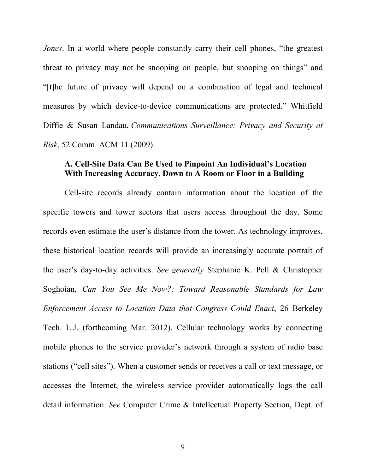*Jones*. In a world where people constantly carry their cell phones, "the greatest" threat to privacy may not be snooping on people, but snooping on things" and "[t]he future of privacy will depend on a combination of legal and technical measures by which device-to-device communications are protected." Whitfield Diffie & Susan Landau, *Communications Surveillance: Privacy and Security at Risk*, 52 Comm. ACM 11 (2009).

#### **A. Cell-Site Data Can Be Used to Pinpoint An Individual's Location With Increasing Accuracy, Down to A Room or Floor in a Building**

Cell-site records already contain information about the location of the specific towers and tower sectors that users access throughout the day. Some records even estimate the user's distance from the tower. As technology improves, these historical location records will provide an increasingly accurate portrait of the user's day-to-day activities. *See generally* Stephanie K. Pell & Christopher Soghoian, *Can You See Me Now?: Toward Reasonable Standards for Law Enforcement Access to Location Data that Congress Could Enact*, 26 Berkeley Tech. L.J. (forthcoming Mar. 2012). Cellular technology works by connecting mobile phones to the service provider's network through a system of radio base stations ("cell sites"). When a customer sends or receives a call or text message, or accesses the Internet, the wireless service provider automatically logs the call detail information. *See* Computer Crime & Intellectual Property Section, Dept. of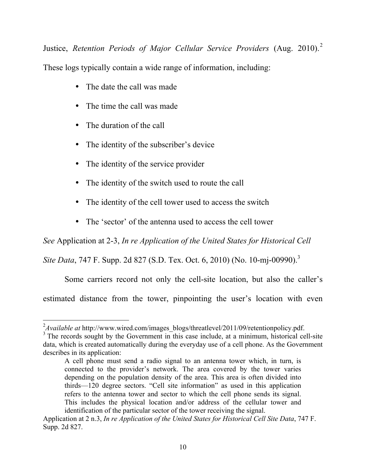Justice, *Retention Periods of Major Cellular Service Providers* (Aug. 2010). 2 These logs typically contain a wide range of information, including:

- The date the call was made
- The time the call was made
- The duration of the call
- The identity of the subscriber's device
- The identity of the service provider
- The identity of the switch used to route the call
- The identity of the cell tower used to access the switch
- The 'sector' of the antenna used to access the cell tower

*See* Application at 2-3, *In re Application of the United States for Historical Cell* 

*Site Data*, 747 F. Supp. 2d 827 (S.D. Tex. Oct. 6, 2010) (No. 10-mj-00990).<sup>3</sup>

Some carriers record not only the cell-site location, but also the caller's

estimated distance from the tower, pinpointing the user's location with even

<sup>&</sup>lt;sup>2</sup> Available at http://www.wired.com/images\_blogs/threatlevel/2011/09/retentionpolicy.pdf.

<sup>&</sup>lt;sup>3</sup> The records sought by the Government in this case include, at a minimum, historical cell-site data, which is created automatically during the everyday use of a cell phone. As the Government describes in its application:

A cell phone must send a radio signal to an antenna tower which, in turn, is connected to the provider's network. The area covered by the tower varies depending on the population density of the area. This area is often divided into thirds—120 degree sectors. "Cell site information" as used in this application refers to the antenna tower and sector to which the cell phone sends its signal. This includes the physical location and/or address of the cellular tower and identification of the particular sector of the tower receiving the signal.

Application at 2 n.3, *In re Application of the United States for Historical Cell Site Data*, 747 F. Supp. 2d 827.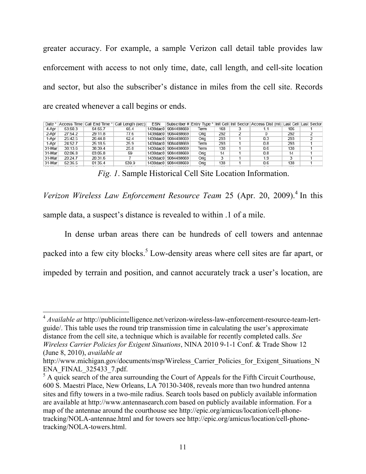greater accuracy. For example, a sample Verizon call detail table provides law enforcement with access to not only time, date, call length, and cell-site location and sector, but also the subscriber's distance in miles from the cell site. Records are created whenever a call begins or ends.

| Date *  |         |           | Access Time   Call End Time *   Call Length (sec) | <b>ESN</b> |                     |      |       | Subscriber # Entry Type * Init Cell Init Sector Access Dist (mi) Last Cell Last Sector |       |  |
|---------|---------|-----------|---------------------------------------------------|------------|---------------------|------|-------|----------------------------------------------------------------------------------------|-------|--|
| 4-Apr   | 53:50.3 | 54:55.7   | 65.4                                              |            | 1438dac0 9084488669 | Term | 168   |                                                                                        | 106   |  |
| 2-Apr   | 27:54.2 | 29:11.8   | 77.6                                              |            | 1438dac0 9084488669 | Orig | 292   |                                                                                        | 292   |  |
| 1-Apr   | 25:42.5 | 26:44.8   | 62.4                                              |            | 1438dac0 9084488669 | Orig | 293   | 0.3                                                                                    | 293   |  |
| 1-Apr   | 24:52.7 | 25:18.5   | 25.9                                              |            | 1438dac0 9084488669 | Term | 293   | 0.8                                                                                    | 293   |  |
| 31-Mar  | 38:13.6 | 38:39.4   | 25.8                                              |            | 1438dac0 9084488669 | Term | 138   | 0.6                                                                                    | 138   |  |
| 31-Mar  | 02:06.8 | 03:05.8   | 59                                                |            | 1438dac0 9084488669 | Orig | 14    | 0.8                                                                                    | 14    |  |
| 31-Mar  | 20:24.7 | 20:31.6   |                                                   |            | 1438dac0 9084488669 | Orig |       | 1.9                                                                                    |       |  |
| 31-Mar  | 52:35.5 | 01:35.4   | 539.9                                             |            | 1438dac0 9084488669 | Oria | 138   | 0.6                                                                                    | 138   |  |
| $- - -$ |         | - - - - - |                                                   |            |                     |      | $- -$ |                                                                                        | $- -$ |  |

*Fig. 1*. Sample Historical Cell Site Location Information.

Verizon Wireless Law Enforcement Resource Team 25 (Apr. 20, 2009).<sup>4</sup> In this sample data, a suspect's distance is revealed to within .1 of a mile.

In dense urban areas there can be hundreds of cell towers and antennae packed into a few city blocks.<sup>5</sup> Low-density areas where cell sites are far apart, or impeded by terrain and position, and cannot accurately track a user's location, are

<sup>&</sup>lt;sup>4</sup> *Available at* http://publicintelligence.net/verizon-wireless-law-enforcement-resource-team-lertguide/. This table uses the round trip transmission time in calculating the user's approximate distance from the cell site, a technique which is available for recently completed calls. *See Wireless Carrier Policies for Exigent Situations*, NINA 2010 9-1-1 Conf. & Trade Show 12 (June 8, 2010), *available at*

http://www.michigan.gov/documents/msp/Wireless\_Carrier\_Policies\_for\_Exigent\_Situations\_N ENA\_FINAL\_325433\_7.pdf.

 $<sup>5</sup>$  A quick search of the area surrounding the Court of Appeals for the Fifth Circuit Courthouse,</sup> 600 S. Maestri Place, New Orleans, LA 70130-3408, reveals more than two hundred antenna sites and fifty towers in a two-mile radius. Search tools based on publicly available information are available at http://www.antennasearch.com based on publicly available information. For a map of the antennae around the courthouse see http://epic.org/amicus/location/cell-phonetracking/NOLA-antennae.html and for towers see http://epic.org/amicus/location/cell-phonetracking/NOLA-towers.html.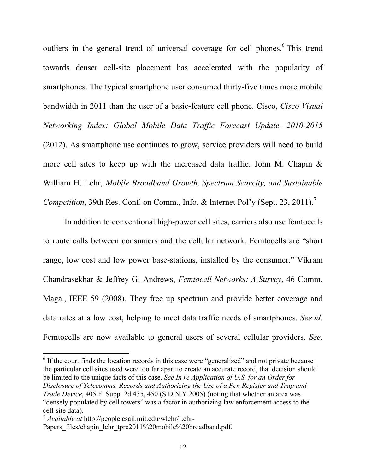outliers in the general trend of universal coverage for cell phones.<sup>6</sup> This trend towards denser cell-site placement has accelerated with the popularity of smartphones. The typical smartphone user consumed thirty-five times more mobile bandwidth in 2011 than the user of a basic-feature cell phone. Cisco, *Cisco Visual Networking Index: Global Mobile Data Traffic Forecast Update, 2010-2015* (2012). As smartphone use continues to grow, service providers will need to build more cell sites to keep up with the increased data traffic. John M. Chapin & William H. Lehr, *Mobile Broadband Growth, Spectrum Scarcity, and Sustainable Competition*, 39th Res. Conf. on Comm., Info. & Internet Pol'y (Sept. 23, 2011).<sup>7</sup>

In addition to conventional high-power cell sites, carriers also use femtocells to route calls between consumers and the cellular network. Femtocells are "short range, low cost and low power base-stations, installed by the consumer." Vikram Chandrasekhar & Jeffrey G. Andrews, *Femtocell Networks: A Survey*, 46 Comm. Maga., IEEE 59 (2008). They free up spectrum and provide better coverage and data rates at a low cost, helping to meet data traffic needs of smartphones. *See id.* Femtocells are now available to general users of several cellular providers. *See,* 

 $\frac{1}{16}$  If the court finds the location records in this case were "generalized" and not private because the particular cell sites used were too far apart to create an accurate record, that decision should be limited to the unique facts of this case. *See In re Application of U.S. for an Order for Disclosure of Telecomms. Records and Authorizing the Use of a Pen Register and Trap and Trade Device*, 405 F. Supp. 2d 435, 450 (S.D.N.Y 2005) (noting that whether an area was "densely populated by cell towers" was a factor in authorizing law enforcement access to the cell-site data).

<sup>7</sup> *Available at* http://people.csail.mit.edu/wlehr/Lehr-

Papers\_files/chapin\_lehr\_tprc2011%20mobile%20broadband.pdf.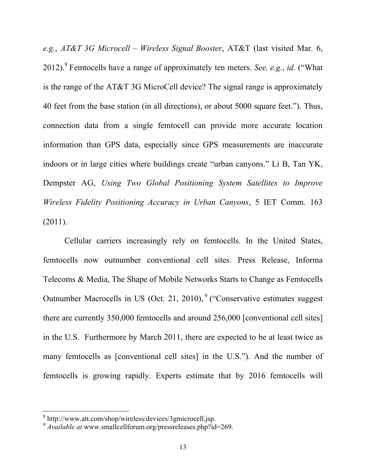*e.g.*, *AT&T 3G Microcell – Wireless Signal Booster*, AT&T (last visited Mar. 6, 2012). 8 Femtocells have a range of approximately ten meters. *See, e.g.*, *id.* ("What is the range of the AT&T 3G MicroCell device? The signal range is approximately 40 feet from the base station (in all directions), or about 5000 square feet."). Thus, connection data from a single femtocell can provide more accurate location information than GPS data, especially since GPS measurements are inaccurate indoors or in large cities where buildings create "urban canyons." Li B, Tan YK, Dempster AG, *Using Two Global Positioning System Satellites to Improve Wireless Fidelity Positioning Accuracy in Urban Canyons*, 5 IET Comm. 163 (2011).

Cellular carriers increasingly rely on femtocells. In the United States, femtocells now outnumber conventional cell sites. Press Release, Informa Telecoms & Media, The Shape of Mobile Networks Starts to Change as Femtocells Outnumber Macrocells in US (Oct. 21, 2010),<sup>9</sup> ("Conservative estimates suggest there are currently 350,000 femtocells and around 256,000 [conventional cell sites] in the U.S. Furthermore by March 2011, there are expected to be at least twice as many femtocells as [conventional cell sites] in the U.S."). And the number of femtocells is growing rapidly. Experts estimate that by 2016 femtocells will

<sup>8&</sup>lt;br><sup>8</sup> http://www.att.com/shop/wireless/devices/3gmicrocell.jsp.

<sup>9</sup> *Available at* www.smallcellforum.org/pressreleases.php?id=269.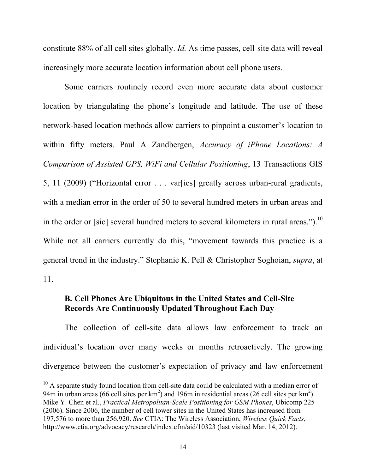constitute 88% of all cell sites globally. *Id.* As time passes, cell-site data will reveal increasingly more accurate location information about cell phone users.

Some carriers routinely record even more accurate data about customer location by triangulating the phone's longitude and latitude. The use of these network-based location methods allow carriers to pinpoint a customer's location to within fifty meters. Paul A Zandbergen, *Accuracy of iPhone Locations: A Comparison of Assisted GPS, WiFi and Cellular Positioning*, 13 Transactions GIS 5, 11 (2009) ("Horizontal error . . . var[ies] greatly across urban-rural gradients, with a median error in the order of 50 to several hundred meters in urban areas and in the order or [sic] several hundred meters to several kilometers in rural areas.").<sup>10</sup> While not all carriers currently do this, "movement towards this practice is a general trend in the industry." Stephanie K. Pell & Christopher Soghoian, *supra*, at 11.

# **B. Cell Phones Are Ubiquitous in the United States and Cell-Site Records Are Continuously Updated Throughout Each Day**

The collection of cell-site data allows law enforcement to track an individual's location over many weeks or months retroactively. The growing divergence between the customer's expectation of privacy and law enforcement

 $10$  A separate study found location from cell-site data could be calculated with a median error of 94m in urban areas (66 cell sites per  $km^2$ ) and 196m in residential areas (26 cell sites per  $km^2$ ). Mike Y. Chen et al., *Practical Metropolitan-Scale Positioning for GSM Phones*, Ubicomp 225 (2006). Since 2006, the number of cell tower sites in the United States has increased from 197,576 to more than 256,920. *See* CTIA: The Wireless Association, *Wireless Quick Facts*, http://www.ctia.org/advocacy/research/index.cfm/aid/10323 (last visited Mar. 14, 2012).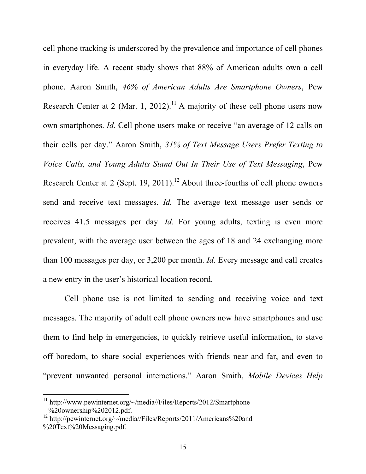cell phone tracking is underscored by the prevalence and importance of cell phones in everyday life. A recent study shows that 88% of American adults own a cell phone. Aaron Smith, *46% of American Adults Are Smartphone Owners*, Pew Research Center at 2 (Mar. 1, 2012).<sup>11</sup> A majority of these cell phone users now own smartphones. *Id*. Cell phone users make or receive "an average of 12 calls on their cells per day." Aaron Smith, *31% of Text Message Users Prefer Texting to Voice Calls, and Young Adults Stand Out In Their Use of Text Messaging*, Pew Research Center at 2 (Sept. 19, 2011).<sup>12</sup> About three-fourths of cell phone owners send and receive text messages. *Id.* The average text message user sends or receives 41.5 messages per day. *Id*. For young adults, texting is even more prevalent, with the average user between the ages of 18 and 24 exchanging more than 100 messages per day, or 3,200 per month. *Id*. Every message and call creates a new entry in the user's historical location record.

Cell phone use is not limited to sending and receiving voice and text messages. The majority of adult cell phone owners now have smartphones and use them to find help in emergencies, to quickly retrieve useful information, to stave off boredom, to share social experiences with friends near and far, and even to "prevent unwanted personal interactions." Aaron Smith, *Mobile Devices Help* 

 $11 \text{ http://www.powinternet.org/~/media/Files/Reports/2012/Smartphone}$ %20ownership%202012.pdf.

<sup>&</sup>lt;sup>12</sup> http://pewinternet.org/ $\sim$ /media//Files/Reports/2011/Americans%20and %20Text%20Messaging.pdf.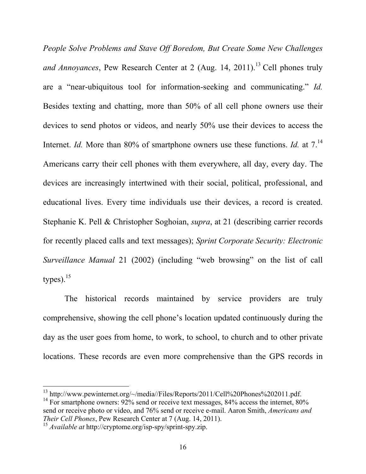*People Solve Problems and Stave Off Boredom, But Create Some New Challenges and Annoyances*, Pew Research Center at 2 (Aug. 14, 2011). 13 Cell phones truly are a "near-ubiquitous tool for information-seeking and communicating." *Id.* Besides texting and chatting, more than 50% of all cell phone owners use their devices to send photos or videos, and nearly 50% use their devices to access the Internet. *Id.* More than 80% of smartphone owners use these functions. *Id.* at 7.<sup>14</sup> Americans carry their cell phones with them everywhere, all day, every day. The devices are increasingly intertwined with their social, political, professional, and educational lives. Every time individuals use their devices, a record is created. Stephanie K. Pell & Christopher Soghoian, *supra*, at 21 (describing carrier records for recently placed calls and text messages); *Sprint Corporate Security: Electronic Surveillance Manual* 21 (2002) (including "web browsing" on the list of call types). $15$ 

The historical records maintained by service providers are truly comprehensive, showing the cell phone's location updated continuously during the day as the user goes from home, to work, to school, to church and to other private locations. These records are even more comprehensive than the GPS records in

<sup>&</sup>lt;sup>13</sup> http://www.pewinternet.org/~/media//Files/Reports/2011/Cell%20Phones%202011.pdf.

<sup>&</sup>lt;sup>14</sup> For smartphone owners:  $92\%$  send or receive text messages, 84% access the internet, 80% send or receive photo or video, and 76% send or receive e-mail. Aaron Smith, *Americans and Their Cell Phones*, Pew Research Center at 7 (Aug. 14, 2011).

<sup>15</sup> *Available at* http://cryptome.org/isp-spy/sprint-spy.zip.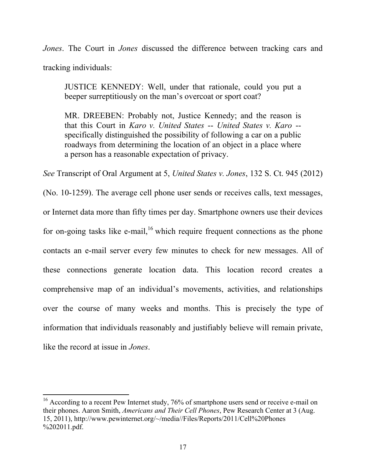*Jones*. The Court in *Jones* discussed the difference between tracking cars and tracking individuals:

JUSTICE KENNEDY: Well, under that rationale, could you put a beeper surreptitiously on the man's overcoat or sport coat?

MR. DREEBEN: Probably not, Justice Kennedy; and the reason is that this Court in *Karo v. United States* -- *United States v. Karo* - specifically distinguished the possibility of following a car on a public roadways from determining the location of an object in a place where a person has a reasonable expectation of privacy.

*See* Transcript of Oral Argument at 5, *United States v. Jones*, 132 S. Ct. 945 (2012)

(No. 10-1259). The average cell phone user sends or receives calls, text messages, or Internet data more than fifty times per day. Smartphone owners use their devices for on-going tasks like e-mail,<sup>16</sup> which require frequent connections as the phone contacts an e-mail server every few minutes to check for new messages. All of these connections generate location data. This location record creates a comprehensive map of an individual's movements, activities, and relationships over the course of many weeks and months. This is precisely the type of information that individuals reasonably and justifiably believe will remain private, like the record at issue in *Jones*.

 $16$  According to a recent Pew Internet study, 76% of smartphone users send or receive e-mail on their phones. Aaron Smith, *Americans and Their Cell Phones*, Pew Research Center at 3 (Aug. 15, 2011), http://www.pewinternet.org/~/media//Files/Reports/2011/Cell%20Phones %202011.pdf.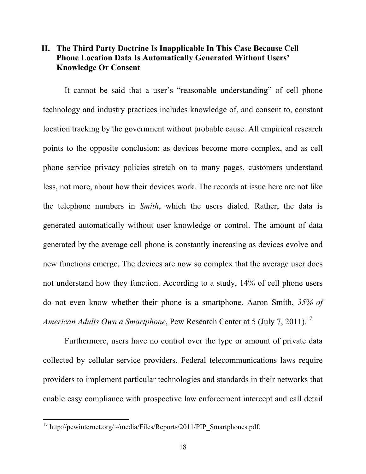## **II. The Third Party Doctrine Is Inapplicable In This Case Because Cell Phone Location Data Is Automatically Generated Without Users' Knowledge Or Consent**

It cannot be said that a user's "reasonable understanding" of cell phone technology and industry practices includes knowledge of, and consent to, constant location tracking by the government without probable cause. All empirical research points to the opposite conclusion: as devices become more complex, and as cell phone service privacy policies stretch on to many pages, customers understand less, not more, about how their devices work. The records at issue here are not like the telephone numbers in *Smith*, which the users dialed. Rather, the data is generated automatically without user knowledge or control. The amount of data generated by the average cell phone is constantly increasing as devices evolve and new functions emerge. The devices are now so complex that the average user does not understand how they function. According to a study, 14% of cell phone users do not even know whether their phone is a smartphone. Aaron Smith, *35% of American Adults Own a Smartphone*, Pew Research Center at 5 (July 7, 2011). 17

Furthermore, users have no control over the type or amount of private data collected by cellular service providers. Federal telecommunications laws require providers to implement particular technologies and standards in their networks that enable easy compliance with prospective law enforcement intercept and call detail

<sup>&</sup>lt;sup>17</sup> http://pewinternet.org/~/media/Files/Reports/2011/PIP\_Smartphones.pdf.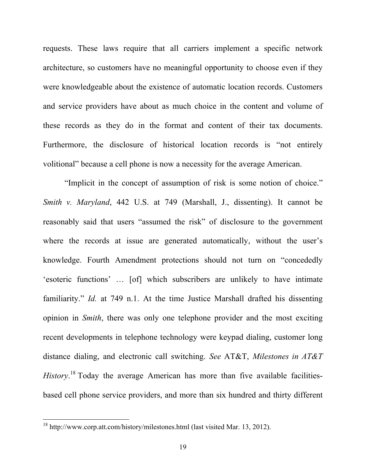requests. These laws require that all carriers implement a specific network architecture, so customers have no meaningful opportunity to choose even if they were knowledgeable about the existence of automatic location records. Customers and service providers have about as much choice in the content and volume of these records as they do in the format and content of their tax documents. Furthermore, the disclosure of historical location records is "not entirely volitional" because a cell phone is now a necessity for the average American.

"Implicit in the concept of assumption of risk is some notion of choice." *Smith v. Maryland*, 442 U.S. at 749 (Marshall, J., dissenting). It cannot be reasonably said that users "assumed the risk" of disclosure to the government where the records at issue are generated automatically, without the user's knowledge. Fourth Amendment protections should not turn on "concededly 'esoteric functions' … [of] which subscribers are unlikely to have intimate familiarity." *Id.* at 749 n.1. At the time Justice Marshall drafted his dissenting opinion in *Smith*, there was only one telephone provider and the most exciting recent developments in telephone technology were keypad dialing, customer long distance dialing, and electronic call switching. *See* AT&T, *Milestones in AT&T History*. 18 Today the average American has more than five available facilitiesbased cell phone service providers, and more than six hundred and thirty different

 $18$  http://www.corp.att.com/history/milestones.html (last visited Mar. 13, 2012).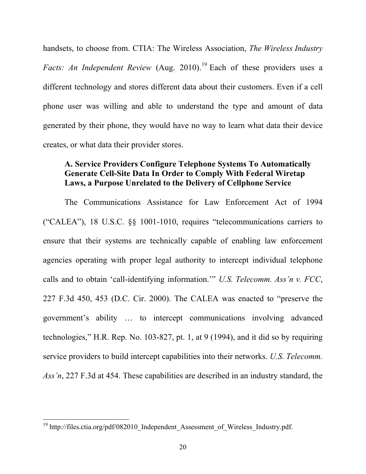handsets, to choose from. CTIA: The Wireless Association, *The Wireless Industry Facts: An Independent Review* (Aug. 2010). <sup>19</sup> Each of these providers uses a different technology and stores different data about their customers. Even if a cell phone user was willing and able to understand the type and amount of data generated by their phone, they would have no way to learn what data their device creates, or what data their provider stores.

# **A. Service Providers Configure Telephone Systems To Automatically Generate Cell-Site Data In Order to Comply With Federal Wiretap Laws, a Purpose Unrelated to the Delivery of Cellphone Service**

The Communications Assistance for Law Enforcement Act of 1994 ("CALEA"), 18 U.S.C. §§ 1001-1010, requires "telecommunications carriers to ensure that their systems are technically capable of enabling law enforcement agencies operating with proper legal authority to intercept individual telephone calls and to obtain 'call-identifying information.'" *U.S. Telecomm. Ass'n v. FCC*, 227 F.3d 450, 453 (D.C. Cir. 2000). The CALEA was enacted to "preserve the government's ability … to intercept communications involving advanced technologies," H.R. Rep. No. 103-827, pt. 1, at 9 (1994), and it did so by requiring service providers to build intercept capabilities into their networks. *U.S. Telecomm. Ass'n*, 227 F.3d at 454. These capabilities are described in an industry standard, the

<sup>&</sup>lt;sup>19</sup> http://files.ctia.org/pdf/082010 Independent\_Assessment\_of\_Wireless\_Industry.pdf.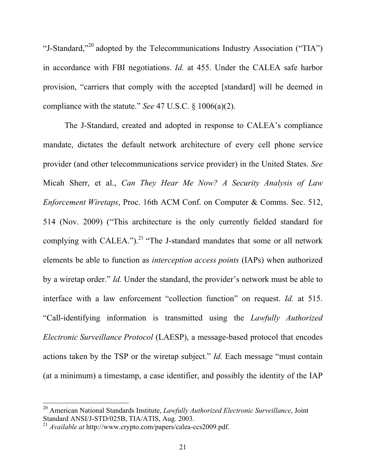"J-Standard,"20 adopted by the Telecommunications Industry Association ("TIA") in accordance with FBI negotiations. *Id.* at 455. Under the CALEA safe harbor provision, "carriers that comply with the accepted [standard] will be deemed in compliance with the statute." *See* 47 U.S.C. § 1006(a)(2).

The J-Standard, created and adopted in response to CALEA's compliance mandate, dictates the default network architecture of every cell phone service provider (and other telecommunications service provider) in the United States. *See*  Micah Sherr, et al., *Can They Hear Me Now? A Security Analysis of Law Enforcement Wiretaps*, Proc. 16th ACM Conf. on Computer & Comms. Sec. 512, 514 (Nov. 2009) ("This architecture is the only currently fielded standard for complying with CALEA.").<sup>21</sup> "The J-standard mandates that some or all network elements be able to function as *interception access points* (IAPs) when authorized by a wiretap order." *Id.* Under the standard, the provider's network must be able to interface with a law enforcement "collection function" on request. *Id.* at 515. "Call-identifying information is transmitted using the *Lawfully Authorized Electronic Surveillance Protocol* (LAESP), a message-based protocol that encodes actions taken by the TSP or the wiretap subject." *Id.* Each message "must contain (at a minimum) a timestamp, a case identifier, and possibly the identity of the IAP

<sup>&</sup>lt;sup>20</sup> American National Standards Institute, *Lawfully Authorized Electronic Surveillance*, Joint Standard ANSI/J-STD/025B, TIA/ATIS, Aug. 2003. <sup>21</sup> *Available at* http://www.crypto.com/papers/calea-ccs2009.pdf.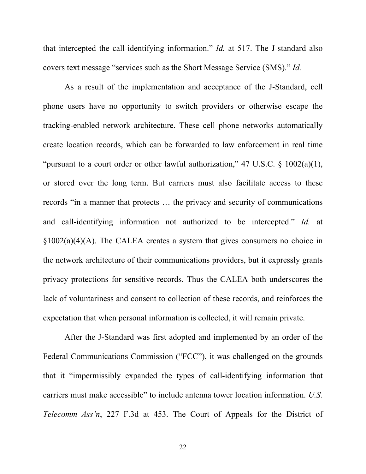that intercepted the call-identifying information." *Id.* at 517. The J-standard also covers text message "services such as the Short Message Service (SMS)." *Id.*

As a result of the implementation and acceptance of the J-Standard, cell phone users have no opportunity to switch providers or otherwise escape the tracking-enabled network architecture. These cell phone networks automatically create location records, which can be forwarded to law enforcement in real time "pursuant to a court order or other lawful authorization," 47 U.S.C.  $\S$  1002(a)(1), or stored over the long term. But carriers must also facilitate access to these records "in a manner that protects … the privacy and security of communications and call-identifying information not authorized to be intercepted." *Id.* at §1002(a)(4)(A). The CALEA creates a system that gives consumers no choice in the network architecture of their communications providers, but it expressly grants privacy protections for sensitive records. Thus the CALEA both underscores the lack of voluntariness and consent to collection of these records, and reinforces the expectation that when personal information is collected, it will remain private.

After the J-Standard was first adopted and implemented by an order of the Federal Communications Commission ("FCC"), it was challenged on the grounds that it "impermissibly expanded the types of call-identifying information that carriers must make accessible" to include antenna tower location information. *U.S. Telecomm Ass'n*, 227 F.3d at 453. The Court of Appeals for the District of

22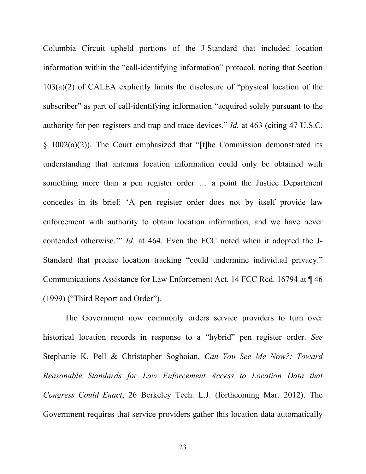Columbia Circuit upheld portions of the J-Standard that included location information within the "call-identifying information" protocol, noting that Section 103(a)(2) of CALEA explicitly limits the disclosure of "physical location of the subscriber" as part of call-identifying information "acquired solely pursuant to the authority for pen registers and trap and trace devices." *Id.* at 463 (citing 47 U.S.C.  $§$  1002(a)(2)). The Court emphasized that "[t]he Commission demonstrated its understanding that antenna location information could only be obtained with something more than a pen register order … a point the Justice Department concedes in its brief: 'A pen register order does not by itself provide law enforcement with authority to obtain location information, and we have never contended otherwise.'" *Id.* at 464. Even the FCC noted when it adopted the J-Standard that precise location tracking "could undermine individual privacy." Communications Assistance for Law Enforcement Act, 14 FCC Rcd. 16794 at ¶ 46 (1999) ("Third Report and Order").

The Government now commonly orders service providers to turn over historical location records in response to a "hybrid" pen register order. *See*  Stephanie K. Pell & Christopher Soghoian, *Can You See Me Now?: Toward Reasonable Standards for Law Enforcement Access to Location Data that Congress Could Enact*, 26 Berkeley Tech. L.J. (forthcoming Mar. 2012). The Government requires that service providers gather this location data automatically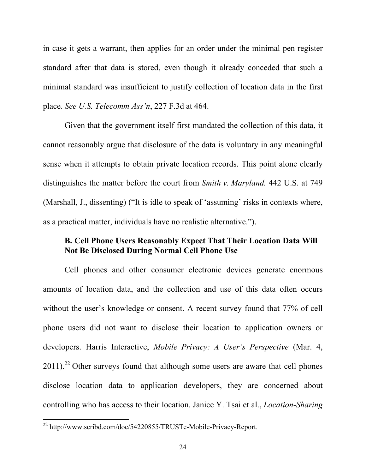in case it gets a warrant, then applies for an order under the minimal pen register standard after that data is stored, even though it already conceded that such a minimal standard was insufficient to justify collection of location data in the first place. *See U.S. Telecomm Ass'n*, 227 F.3d at 464.

Given that the government itself first mandated the collection of this data, it cannot reasonably argue that disclosure of the data is voluntary in any meaningful sense when it attempts to obtain private location records. This point alone clearly distinguishes the matter before the court from *Smith v. Maryland.* 442 U.S. at 749 (Marshall, J., dissenting) ("It is idle to speak of 'assuming' risks in contexts where, as a practical matter, individuals have no realistic alternative.").

## **B. Cell Phone Users Reasonably Expect That Their Location Data Will Not Be Disclosed During Normal Cell Phone Use**

Cell phones and other consumer electronic devices generate enormous amounts of location data, and the collection and use of this data often occurs without the user's knowledge or consent. A recent survey found that 77% of cell phone users did not want to disclose their location to application owners or developers. Harris Interactive, *Mobile Privacy: A User's Perspective* (Mar. 4,  $2011$ ).<sup>22</sup> Other surveys found that although some users are aware that cell phones disclose location data to application developers, they are concerned about controlling who has access to their location. Janice Y. Tsai et al., *Location-Sharing* 

<sup>&</sup>lt;sup>22</sup> http://www.scribd.com/doc/54220855/TRUSTe-Mobile-Privacy-Report.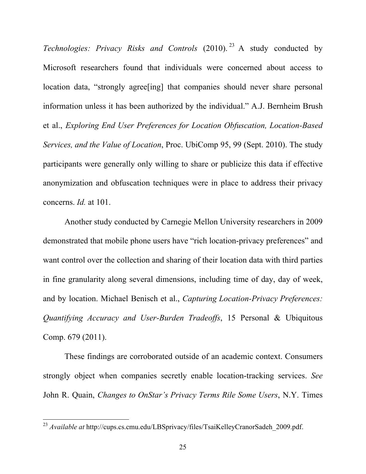*Technologies: Privacy Risks and Controls* (2010). 23 A study conducted by Microsoft researchers found that individuals were concerned about access to location data, "strongly agree [ing] that companies should never share personal information unless it has been authorized by the individual." A.J. Bernheim Brush et al., *Exploring End User Preferences for Location Obfuscation, Location-Based Services, and the Value of Location*, Proc. UbiComp 95, 99 (Sept. 2010). The study participants were generally only willing to share or publicize this data if effective anonymization and obfuscation techniques were in place to address their privacy concerns. *Id.* at 101.

Another study conducted by Carnegie Mellon University researchers in 2009 demonstrated that mobile phone users have "rich location-privacy preferences" and want control over the collection and sharing of their location data with third parties in fine granularity along several dimensions, including time of day, day of week, and by location. Michael Benisch et al., *Capturing Location-Privacy Preferences: Quantifying Accuracy and User-Burden Tradeoffs*, 15 Personal & Ubiquitous Comp. 679 (2011).

These findings are corroborated outside of an academic context. Consumers strongly object when companies secretly enable location-tracking services. *See* John R. Quain, *Changes to OnStar's Privacy Terms Rile Some Users*, N.Y. Times

<sup>&</sup>lt;sup>23</sup> Available at http://cups.cs.cmu.edu/LBSprivacy/files/TsaiKelleyCranorSadeh\_2009.pdf.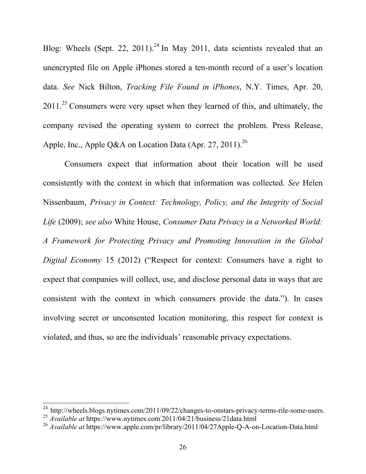Blog: Wheels (Sept. 22, 2011).<sup>24</sup> In May 2011, data scientists revealed that an unencrypted file on Apple iPhones stored a ten-month record of a user's location data. *See* Nick Bilton, *Tracking File Found in iPhones*, N.Y. Times, Apr. 20, 2011.<sup>25</sup> Consumers were very upset when they learned of this, and ultimately, the company revised the operating system to correct the problem. Press Release, Apple, Inc., Apple Q&A on Location Data (Apr. 27, 2011).<sup>26</sup>

Consumers expect that information about their location will be used consistently with the context in which that information was collected. *See* Helen Nissenbaum, *Privacy in Context: Technology, Policy, and the Integrity of Social Life* (2009); *see also* White House, *Consumer Data Privacy in a Networked World: A Framework for Protecting Privacy and Promoting Innovation in the Global Digital Economy* 15 (2012) ("Respect for context: Consumers have a right to expect that companies will collect, use, and disclose personal data in ways that are consistent with the context in which consumers provide the data."). In cases involving secret or unconsented location monitoring, this respect for context is violated, and thus, so are the individuals' reasonable privacy expectations.

 $24 \text{ http://wheels.blogs.nytimes.com/2011/09/22/changes-to-onstars-privacy-terms-ride-some-users.}$ 

<sup>25</sup> *Available at* https://www.nytimes.com/ 2011/04/21/business/21data.html

<sup>26</sup> *Available at* https://www.apple.com/pr/library/2011/04/27Apple-Q-A-on-Location-Data.html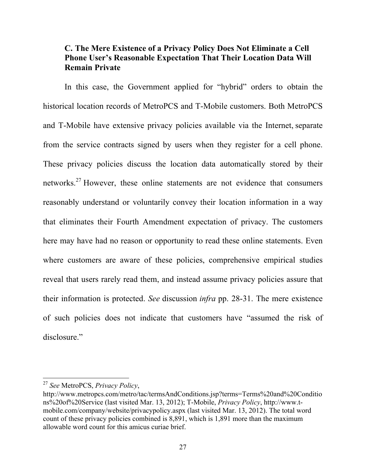## **C. The Mere Existence of a Privacy Policy Does Not Eliminate a Cell Phone User's Reasonable Expectation That Their Location Data Will Remain Private**

In this case, the Government applied for "hybrid" orders to obtain the historical location records of MetroPCS and T-Mobile customers. Both MetroPCS and T-Mobile have extensive privacy policies available via the Internet, separate from the service contracts signed by users when they register for a cell phone. These privacy policies discuss the location data automatically stored by their networks.27 However, these online statements are not evidence that consumers reasonably understand or voluntarily convey their location information in a way that eliminates their Fourth Amendment expectation of privacy. The customers here may have had no reason or opportunity to read these online statements. Even where customers are aware of these policies, comprehensive empirical studies reveal that users rarely read them, and instead assume privacy policies assure that their information is protected. *See* discussion *infra* pp. 28-31. The mere existence of such policies does not indicate that customers have "assumed the risk of disclosure."

<sup>&</sup>lt;sup>27</sup> See MetroPCS, *Privacy Policy*,

http://www.metropcs.com/metro/tac/termsAndConditions.jsp?terms=Terms%20and%20Conditio ns%20of%20Service (last visited Mar. 13, 2012); T-Mobile, *Privacy Policy*, http://www.tmobile.com/company/website/privacypolicy.aspx (last visited Mar. 13, 2012). The total word count of these privacy policies combined is 8,891, which is 1,891 more than the maximum allowable word count for this amicus curiae brief.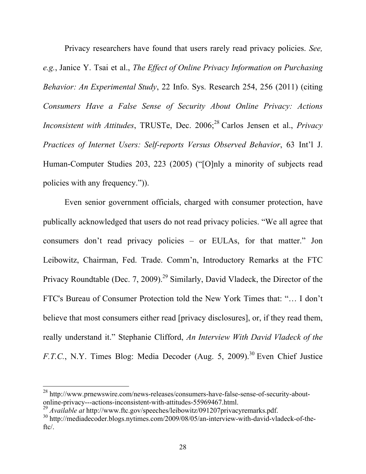Privacy researchers have found that users rarely read privacy policies. *See, e.g.*, Janice Y. Tsai et al., *The Effect of Online Privacy Information on Purchasing Behavior: An Experimental Study*, 22 Info. Sys. Research 254, 256 (2011) (citing *Consumers Have a False Sense of Security About Online Privacy: Actions Inconsistent with Attitudes*, TRUSTe, Dec. 2006; 28 Carlos Jensen et al., *Privacy Practices of Internet Users: Self-reports Versus Observed Behavior*, 63 Int'l J. Human-Computer Studies 203, 223 (2005) ("[O]nly a minority of subjects read policies with any frequency.")).

Even senior government officials, charged with consumer protection, have publically acknowledged that users do not read privacy policies. "We all agree that consumers don't read privacy policies – or EULAs, for that matter." Jon Leibowitz, Chairman, Fed. Trade. Comm'n, Introductory Remarks at the FTC Privacy Roundtable (Dec. 7, 2009).<sup>29</sup> Similarly, David Vladeck, the Director of the FTC's Bureau of Consumer Protection told the New York Times that: "… I don't believe that most consumers either read [privacy disclosures], or, if they read them, really understand it." Stephanie Clifford, *An Interview With David Vladeck of the F.T.C.*, N.Y. Times Blog: Media Decoder (Aug. 5, 2009).<sup>30</sup> Even Chief Justice

 $28$  http://www.prnewswire.com/news-releases/consumers-have-false-sense-of-security-about-<br>online-privacy---actions-inconsistent-with-attitudes-55969467.html.

 $^{29}$  Available at http://www.ftc.gov/speeches/leibowitz/091207privacyremarks.pdf.<br> $^{30}$  http://mediadecoder.blogs.nytimes.com/2009/08/05/an-interview-with-david-vladeck-of-theftc/.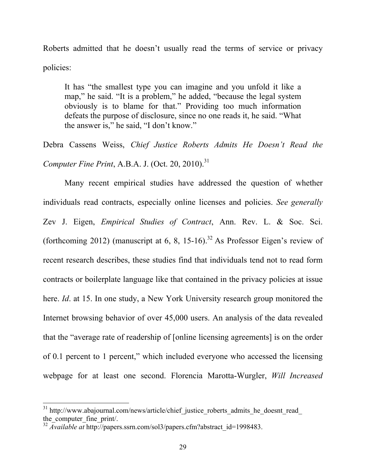Roberts admitted that he doesn't usually read the terms of service or privacy policies:

It has "the smallest type you can imagine and you unfold it like a map," he said. "It is a problem," he added, "because the legal system obviously is to blame for that." Providing too much information defeats the purpose of disclosure, since no one reads it, he said. "What the answer is," he said, "I don't know."

Debra Cassens Weiss, *Chief Justice Roberts Admits He Doesn't Read the Computer Fine Print*, A.B.A. J. (Oct. 20, 2010). 31

Many recent empirical studies have addressed the question of whether individuals read contracts, especially online licenses and policies. *See generally*  Zev J. Eigen, *Empirical Studies of Contract*, Ann. Rev. L. & Soc. Sci. (forthcoming 2012) (manuscript at 6, 8, 15-16).<sup>32</sup> As Professor Eigen's review of recent research describes, these studies find that individuals tend not to read form contracts or boilerplate language like that contained in the privacy policies at issue here. *Id*. at 15. In one study, a New York University research group monitored the Internet browsing behavior of over 45,000 users. An analysis of the data revealed that the "average rate of readership of [online licensing agreements] is on the order of 0.1 percent to 1 percent," which included everyone who accessed the licensing webpage for at least one second. Florencia Marotta-Wurgler, *Will Increased* 

<sup>&</sup>lt;sup>31</sup> http://www.abajournal.com/news/article/chief\_justice\_roberts\_admits\_he\_doesnt\_read\_ the computer fine print/.

<sup>&</sup>lt;sup>32</sup> *Available at* http://papers.ssrn.com/sol3/papers.cfm?abstract\_id=1998483.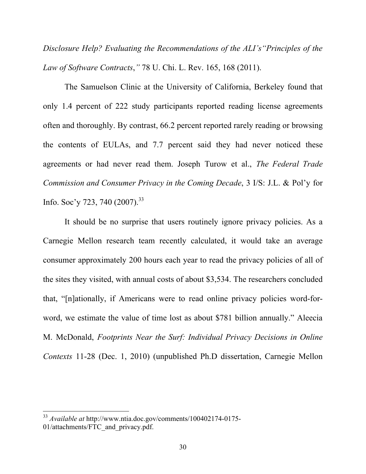*Disclosure Help? Evaluating the Recommendations of the ALI's"Principles of the Law of Software Contracts*,*"* 78 U. Chi. L. Rev. 165, 168 (2011).

The Samuelson Clinic at the University of California, Berkeley found that only 1.4 percent of 222 study participants reported reading license agreements often and thoroughly. By contrast, 66.2 percent reported rarely reading or browsing the contents of EULAs, and 7.7 percent said they had never noticed these agreements or had never read them. Joseph Turow et al., *The Federal Trade Commission and Consumer Privacy in the Coming Decade*, 3 I/S: J.L. & Pol'y for Info. Soc'y 723, 740 (2007).<sup>33</sup>

It should be no surprise that users routinely ignore privacy policies. As a Carnegie Mellon research team recently calculated, it would take an average consumer approximately 200 hours each year to read the privacy policies of all of the sites they visited, with annual costs of about \$3,534. The researchers concluded that, "[n]ationally, if Americans were to read online privacy policies word-forword, we estimate the value of time lost as about \$781 billion annually." Aleecia M. McDonald, *Footprints Near the Surf: Individual Privacy Decisions in Online Contexts* 11-28 (Dec. 1, 2010) (unpublished Ph.D dissertation, Carnegie Mellon

<sup>&</sup>lt;sup>33</sup> *Available at http://www.ntia.doc.gov/comments/100402174-0175-*01/attachments/FTC\_and\_privacy.pdf.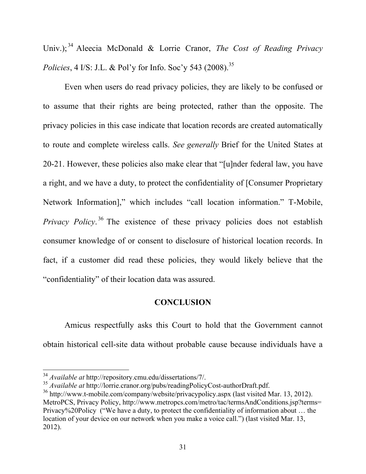Univ.); 34 Aleecia McDonald & Lorrie Cranor, *The Cost of Reading Privacy Policies*, 4 I/S: J.L. & Pol'y for Info. Soc'y 543 (2008).<sup>35</sup>

Even when users do read privacy policies, they are likely to be confused or to assume that their rights are being protected, rather than the opposite. The privacy policies in this case indicate that location records are created automatically to route and complete wireless calls. *See generally* Brief for the United States at 20-21. However, these policies also make clear that "[u]nder federal law, you have a right, and we have a duty, to protect the confidentiality of [Consumer Proprietary Network Information]," which includes "call location information." T-Mobile, *Privacy Policy*<sup>36</sup> The existence of these privacy policies does not establish consumer knowledge of or consent to disclosure of historical location records. In fact, if a customer did read these policies, they would likely believe that the "confidentiality" of their location data was assured.

#### **CONCLUSION**

Amicus respectfully asks this Court to hold that the Government cannot obtain historical cell-site data without probable cause because individuals have a

<sup>&</sup>lt;sup>34</sup> *Available at http://repository.cmu.edu/dissertations/7/.* 

<sup>35</sup> *Available at* http://lorrie.cranor.org/pubs/readingPolicyCost-authorDraft.pdf.

 $36$  http://www.t-mobile.com/company/website/privacypolicy.aspx (last visited Mar. 13, 2012). MetroPCS, Privacy Policy, http://www.metropcs.com/metro/tac/termsAndConditions.jsp?terms= Privacy%20Policy ("We have a duty, to protect the confidentiality of information about … the location of your device on our network when you make a voice call.") (last visited Mar. 13, 2012).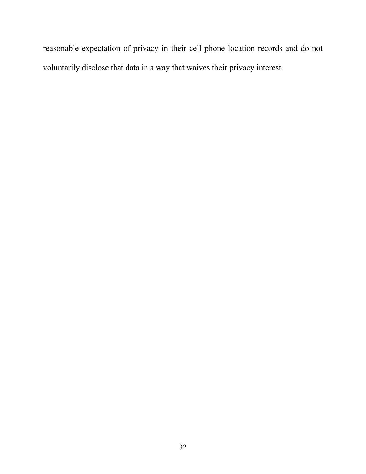reasonable expectation of privacy in their cell phone location records and do not voluntarily disclose that data in a way that waives their privacy interest.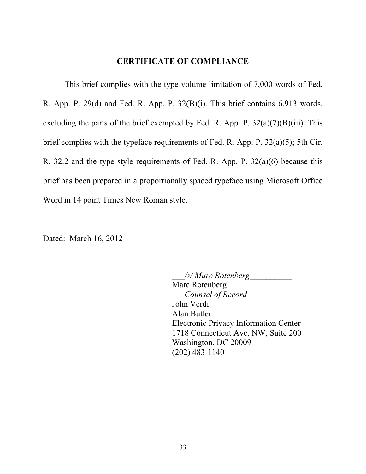#### **CERTIFICATE OF COMPLIANCE**

This brief complies with the type-volume limitation of 7,000 words of Fed. R. App. P. 29(d) and Fed. R. App. P. 32(B)(i). This brief contains 6,913 words, excluding the parts of the brief exempted by Fed. R. App. P.  $32(a)(7)(B)(iii)$ . This brief complies with the typeface requirements of Fed. R. App. P. 32(a)(5); 5th Cir. R. 32.2 and the type style requirements of Fed. R. App. P. 32(a)(6) because this brief has been prepared in a proportionally spaced typeface using Microsoft Office Word in 14 point Times New Roman style.

Dated: March 16, 2012

\_\_\_*/s/ Marc Rotenberg*\_\_\_\_\_\_\_\_\_\_ Marc Rotenberg *Counsel of Record* John Verdi Alan Butler Electronic Privacy Information Center 1718 Connecticut Ave. NW, Suite 200 Washington, DC 20009 (202) 483-1140